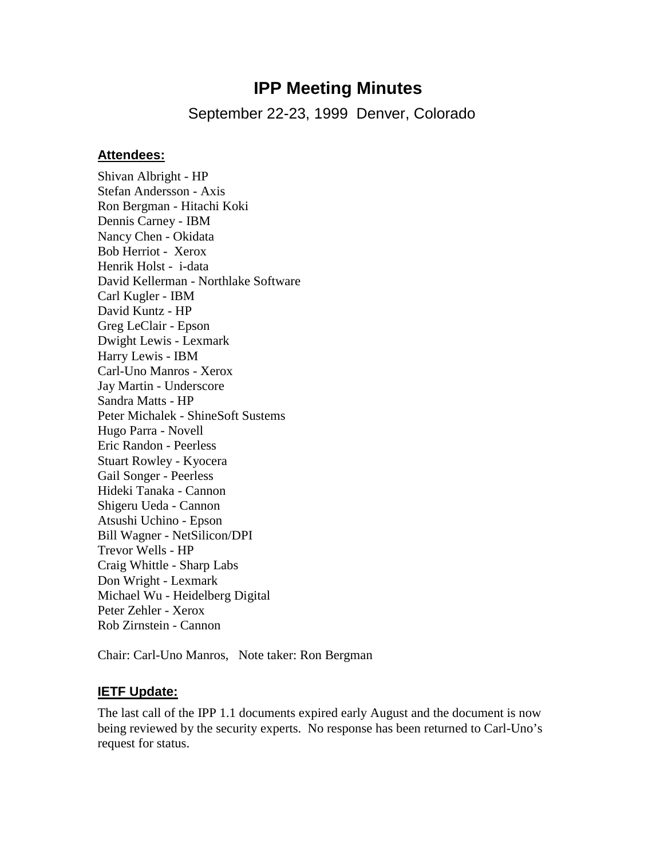# **IPP Meeting Minutes**

September 22-23, 1999 Denver, Colorado

#### **Attendees:**

Shivan Albright - HP Stefan Andersson - Axis Ron Bergman - Hitachi Koki Dennis Carney - IBM Nancy Chen - Okidata Bob Herriot - Xerox Henrik Holst - i-data David Kellerman - Northlake Software Carl Kugler - IBM David Kuntz - HP Greg LeClair - Epson Dwight Lewis - Lexmark Harry Lewis - IBM Carl-Uno Manros - Xerox Jay Martin - Underscore Sandra Matts - HP Peter Michalek - ShineSoft Sustems Hugo Parra - Novell Eric Randon - Peerless Stuart Rowley - Kyocera Gail Songer - Peerless Hideki Tanaka - Cannon Shigeru Ueda - Cannon Atsushi Uchino - Epson Bill Wagner - NetSilicon/DPI Trevor Wells - HP Craig Whittle - Sharp Labs Don Wright - Lexmark Michael Wu - Heidelberg Digital Peter Zehler - Xerox Rob Zirnstein - Cannon

Chair: Carl-Uno Manros, Note taker: Ron Bergman

#### **IETF Update:**

The last call of the IPP 1.1 documents expired early August and the document is now being reviewed by the security experts. No response has been returned to Carl-Uno's request for status.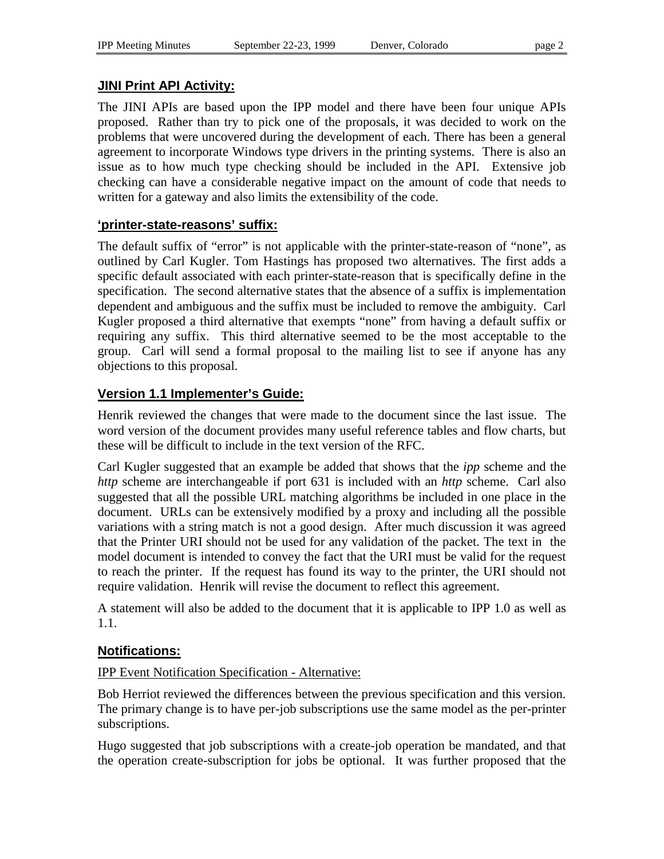### **JINI Print API Activity:**

The JINI APIs are based upon the IPP model and there have been four unique APIs proposed. Rather than try to pick one of the proposals, it was decided to work on the problems that were uncovered during the development of each. There has been a general agreement to incorporate Windows type drivers in the printing systems. There is also an issue as to how much type checking should be included in the API. Extensive job checking can have a considerable negative impact on the amount of code that needs to written for a gateway and also limits the extensibility of the code.

### **'printer-state-reasons' suffix:**

The default suffix of "error" is not applicable with the printer-state-reason of "none", as outlined by Carl Kugler. Tom Hastings has proposed two alternatives. The first adds a specific default associated with each printer-state-reason that is specifically define in the specification. The second alternative states that the absence of a suffix is implementation dependent and ambiguous and the suffix must be included to remove the ambiguity. Carl Kugler proposed a third alternative that exempts "none" from having a default suffix or requiring any suffix. This third alternative seemed to be the most acceptable to the group. Carl will send a formal proposal to the mailing list to see if anyone has any objections to this proposal.

### **Version 1.1 Implementer's Guide:**

Henrik reviewed the changes that were made to the document since the last issue. The word version of the document provides many useful reference tables and flow charts, but these will be difficult to include in the text version of the RFC.

Carl Kugler suggested that an example be added that shows that the *ipp* scheme and the *http* scheme are interchangeable if port 631 is included with an *http* scheme. Carl also suggested that all the possible URL matching algorithms be included in one place in the document. URLs can be extensively modified by a proxy and including all the possible variations with a string match is not a good design. After much discussion it was agreed that the Printer URI should not be used for any validation of the packet. The text in the model document is intended to convey the fact that the URI must be valid for the request to reach the printer. If the request has found its way to the printer, the URI should not require validation. Henrik will revise the document to reflect this agreement.

A statement will also be added to the document that it is applicable to IPP 1.0 as well as 1.1.

### **Notifications:**

IPP Event Notification Specification - Alternative:

Bob Herriot reviewed the differences between the previous specification and this version. The primary change is to have per-job subscriptions use the same model as the per-printer subscriptions.

Hugo suggested that job subscriptions with a create-job operation be mandated, and that the operation create-subscription for jobs be optional. It was further proposed that the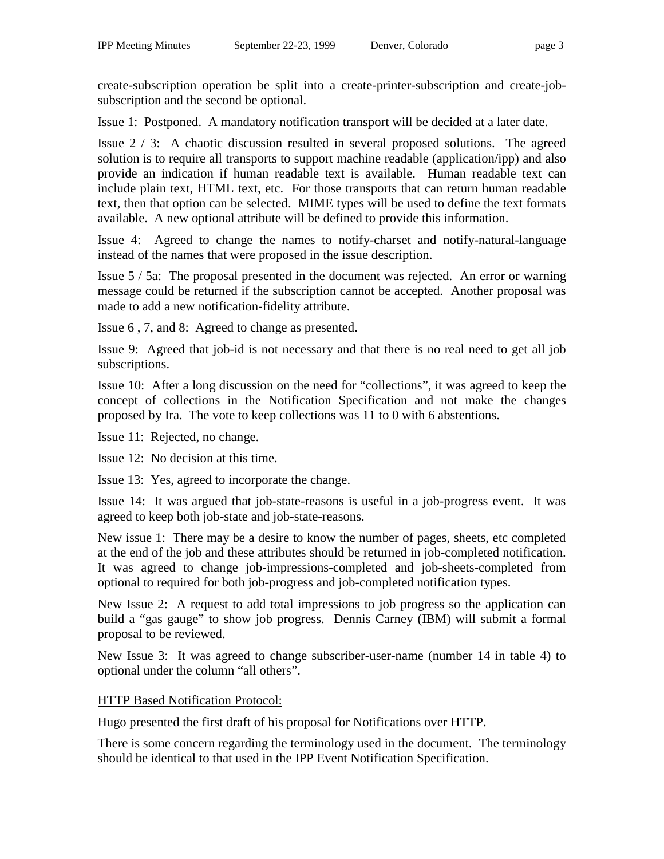create-subscription operation be split into a create-printer-subscription and create-jobsubscription and the second be optional.

Issue 1: Postponed. A mandatory notification transport will be decided at a later date.

Issue 2 / 3: A chaotic discussion resulted in several proposed solutions. The agreed solution is to require all transports to support machine readable (application/ipp) and also provide an indication if human readable text is available. Human readable text can include plain text, HTML text, etc. For those transports that can return human readable text, then that option can be selected. MIME types will be used to define the text formats available. A new optional attribute will be defined to provide this information.

Issue 4: Agreed to change the names to notify-charset and notify-natural-language instead of the names that were proposed in the issue description.

Issue 5 / 5a: The proposal presented in the document was rejected. An error or warning message could be returned if the subscription cannot be accepted. Another proposal was made to add a new notification-fidelity attribute.

Issue 6 , 7, and 8: Agreed to change as presented.

Issue 9: Agreed that job-id is not necessary and that there is no real need to get all job subscriptions.

Issue 10: After a long discussion on the need for "collections", it was agreed to keep the concept of collections in the Notification Specification and not make the changes proposed by Ira. The vote to keep collections was 11 to 0 with 6 abstentions.

Issue 11: Rejected, no change.

Issue 12: No decision at this time.

Issue 13: Yes, agreed to incorporate the change.

Issue 14: It was argued that job-state-reasons is useful in a job-progress event. It was agreed to keep both job-state and job-state-reasons.

New issue 1: There may be a desire to know the number of pages, sheets, etc completed at the end of the job and these attributes should be returned in job-completed notification. It was agreed to change job-impressions-completed and job-sheets-completed from optional to required for both job-progress and job-completed notification types.

New Issue 2: A request to add total impressions to job progress so the application can build a "gas gauge" to show job progress. Dennis Carney (IBM) will submit a formal proposal to be reviewed.

New Issue 3: It was agreed to change subscriber-user-name (number 14 in table 4) to optional under the column "all others".

### HTTP Based Notification Protocol:

Hugo presented the first draft of his proposal for Notifications over HTTP.

There is some concern regarding the terminology used in the document. The terminology should be identical to that used in the IPP Event Notification Specification.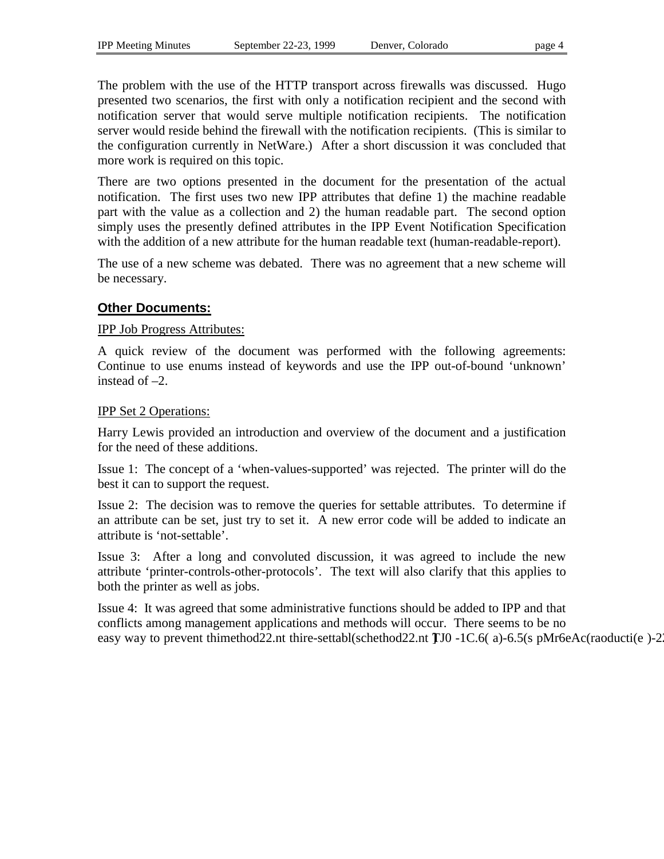The problem with the use of the HTTP transport across firewalls was discussed. Hugo presented two scenarios, the first with only a notification recipient and the second with notification server that would serve multiple notification recipients. The notification server would reside behind the firewall with the notification recipients. (This is similar to the configuration currently in NetWare.) After a short discussion it was concluded that more work is required on this topic.

There are two options presented in the document for the presentation of the actual notification. The first uses two new IPP attributes that define 1) the machine readable part with the value as a collection and 2) the human readable part. The second option simply uses the presently defined attributes in the IPP Event Notification Specification with the addition of a new attribute for the human readable text (human-readable-report).

The use of a new scheme was debated. There was no agreement that a new scheme will be necessary.

### **Other Documents:**

#### IPP Job Progress Attributes:

A quick review of the document was performed with the following agreements: Continue to use enums instead of keywords and use the IPP out-of-bound 'unknown' instead of –2.

#### IPP Set 2 Operations:

Harry Lewis provided an introduction and overview of the document and a justification for the need of these additions.

Issue 1: The concept of a 'when-values-supported' was rejected. The printer will do the best it can to support the request.

Issue 2: The decision was to remove the queries for settable attributes. To determine if an attribute can be set, just try to set it. A new error code will be added to indicate an attribute is 'not-settable'.

Issue 3: After a long and convoluted discussion, it was agreed to include the new attribute 'printer-controls-other-protocols'. The text will also clarify that this applies to both the printer as well as jobs.

Issue 4: It was agreed that some administrative functions should be added to IPP and that conflicts among management applications and methods will occur. There seems to be no easy way to prevent thimethod 22.nt thire-settabl (schethod 22.nt TJ0 -1C.6(a)-6.5(s pMr6eAc (raoducti (e)-2.